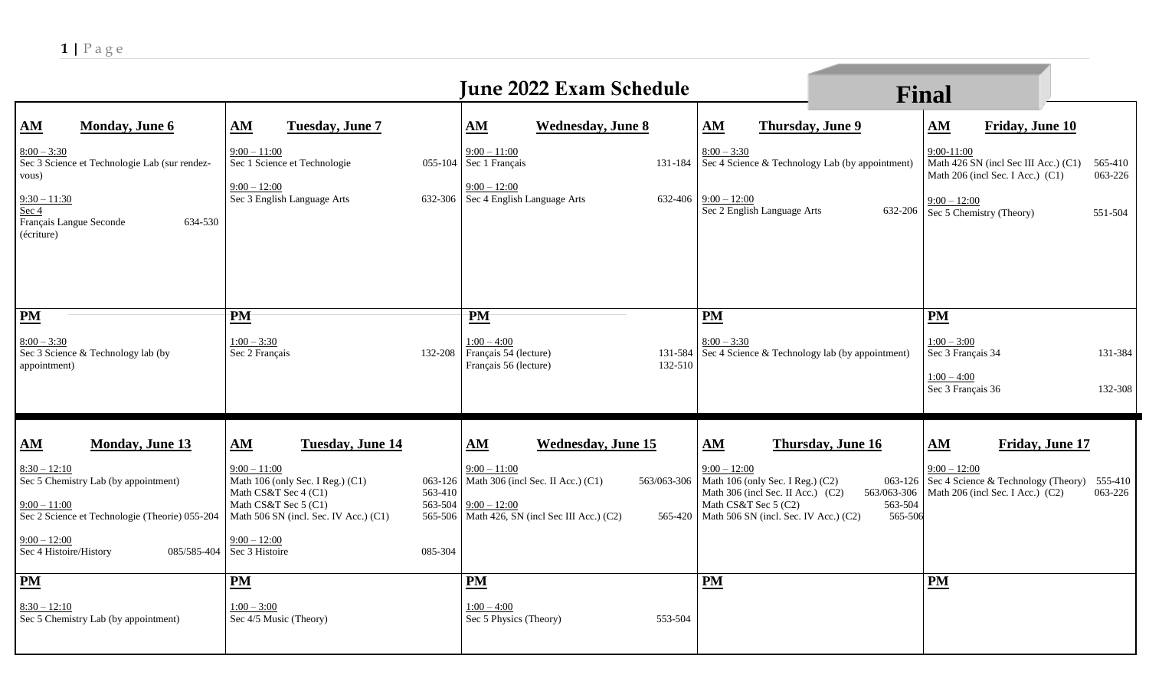|                                                                                                                                                                                                                               |                                                                                                                                                                                                                                | <b>June 2022 Exam Schedule</b>                                                                                                                                                                                      |                                                                                                                                                                                                                                    | <b>Final</b>                                                                                                                                                                                             |
|-------------------------------------------------------------------------------------------------------------------------------------------------------------------------------------------------------------------------------|--------------------------------------------------------------------------------------------------------------------------------------------------------------------------------------------------------------------------------|---------------------------------------------------------------------------------------------------------------------------------------------------------------------------------------------------------------------|------------------------------------------------------------------------------------------------------------------------------------------------------------------------------------------------------------------------------------|----------------------------------------------------------------------------------------------------------------------------------------------------------------------------------------------------------|
| ${\bf \underline{AM}}$<br><b>Monday</b> , June 6<br>$8:00 - 3:30$<br>Sec 3 Science et Technologie Lab (sur rendez-<br>vous)<br>$9:30 - 11:30$<br>Sec 4                                                                        | AM<br>Tuesday, June 7<br>$9:00 - 11:00$<br>Sec 1 Science et Technologie<br>$9:00 - 12:00$<br>Sec 3 English Language Arts                                                                                                       | AM<br><b>Wednesday</b> , June 8<br>$9:00 - 11:00$<br>055-104 Sec 1 Français<br>$9:00 - 12:00$<br>632-306   Sec 4 English Language Arts                                                                              | AM<br><b>Thursday, June 9</b><br>$8:00 - 3:30$<br>131-184 Sec 4 Science & Technology Lab (by appointment)<br>$632-406$ $9:00 - 12:00$<br>Sec 2 English Language Arts<br>632-206                                                    | Friday, June 10<br>${\bf AM}$<br>$9:00-11:00$<br>Math 426 SN (incl Sec III Acc.) (C1)<br>565-410<br>Math 206 (incl Sec. I Acc.) (C1)<br>063-226<br>$9:00 - 12:00$<br>Sec 5 Chemistry (Theory)<br>551-504 |
| 634-530<br>Français Langue Seconde<br>(écriture)<br>$PM$                                                                                                                                                                      | <b>PM</b>                                                                                                                                                                                                                      | <b>PM</b>                                                                                                                                                                                                           | <b>PM</b>                                                                                                                                                                                                                          | PM                                                                                                                                                                                                       |
| $8:00 - 3:30$<br>Sec 3 Science & Technology lab (by<br>appointment)                                                                                                                                                           | $1:00 - 3:30$<br>Sec 2 Français                                                                                                                                                                                                | $1:00 - 4:00$<br>Français 54 (lecture)<br>132-208<br>131-584<br>Français 56 (lecture)<br>132-510                                                                                                                    | $8:00 - 3:30$<br>Sec 4 Science & Technology lab (by appointment)                                                                                                                                                                   | $1:00 - 3:00$<br>Sec 3 Français 34<br>131-384<br>$1:00 - 4:00$<br>Sec 3 Français 36<br>132-308                                                                                                           |
| $\underline{\mathbf{AM}}$<br><b>Monday, June 13</b><br>$8:30 - 12:10$<br>Sec 5 Chemistry Lab (by appointment)<br>$9:00 - 11:00$<br>Sec 2 Science et Technologie (Theorie) 055-204<br>$9:00 - 12:00$<br>Sec 4 Histoire/History | <b>Tuesday, June 14</b><br>AM<br>$9:00 - 11:00$<br>Math 106 (only Sec. I Reg.) (C1)<br>Math CS&T Sec 4 (C1)<br>Math CS&T Sec 5 (C1)<br>Math 506 SN (incl. Sec. IV Acc.) (C1)<br>$9:00 - 12:00$<br>085/585-404   Sec 3 Histoire | AM<br><b>Wednesday, June 15</b><br>$9:00 - 11:00$<br>063-126   Math 306 (incl Sec. II Acc.) (C1)<br>563/063-306<br>563-410<br>563-504<br>$9:00 - 12:00$<br>565-506 Math 426, SN (incl Sec III Acc.) (C2)<br>085-304 | AM<br>Thursday, June 16<br>$9:00 - 12:00$<br>Math 106 (only Sec. I Reg.) (C2)<br>Math 306 (incl Sec. II Acc.) (C2)<br>563/063-306<br>Math CS&T Sec 5 (C2)<br>563-504<br>565-420   Math 506 SN (incl. Sec. IV Acc.) (C2)<br>565-506 | Friday, June 17<br>AM<br>$9:00 - 12:00$<br>063-126   $\overline{\text{Sec}}$ 4 Science & Technology (Theory) 555-410<br>Math 206 (incl Sec. I Acc.) (C2)<br>063-226                                      |
| $\underline{\mathbf{PM}}$<br>$8:30 - 12:10$<br>Sec 5 Chemistry Lab (by appointment)                                                                                                                                           | $PM$<br>$1:00 - 3:00$<br>Sec 4/5 Music (Theory)                                                                                                                                                                                | <b>PM</b><br>$1:00 - 4:00$<br>Sec 5 Physics (Theory)<br>553-504                                                                                                                                                     | <b>PM</b>                                                                                                                                                                                                                          | <b>PM</b>                                                                                                                                                                                                |